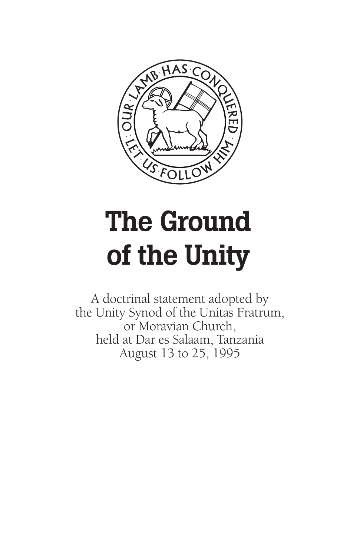

# The Ground of the Unity

A doctrinal statement adopted by the Unity Synod of the Unitas Fratrum, or Moravian Church, held at Dar es Salaam, Tanzania August 13 to 25, 1995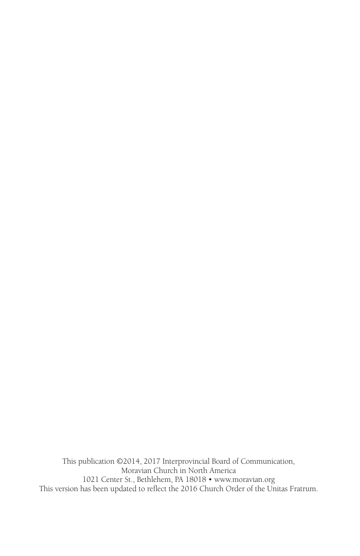This publication ©2014, 2017 Interprovincial Board of Communication, Moravian Church in North America 1021 Center St., Bethlehem, PA 18018 • www.moravian.org This version has been updated to reflect the 2016 Church Order of the Unitas Fratrum.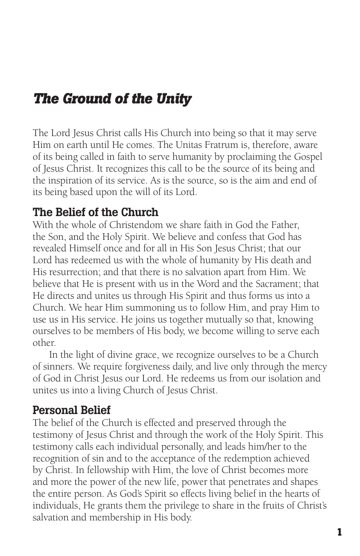# *The Ground of the Unity*

The Lord Jesus Christ calls His Church into being so that it may serve Him on earth until He comes. The Unitas Fratrum is, therefore, aware of its being called in faith to serve humanity by proclaiming the Gospel of Jesus Christ. It recognizes this call to be the source of its being and the inspiration of its service. As is the source, so is the aim and end of its being based upon the will of its Lord.

#### The Belief of the Church

With the whole of Christendom we share faith in God the Father, the Son, and the Holy Spirit. We believe and confess that God has revealed Himself once and for all in His Son Jesus Christ; that our Lord has redeemed us with the whole of humanity by His death and His resurrection; and that there is no salvation apart from Him. We believe that He is present with us in the Word and the Sacrament; that He directs and unites us through His Spirit and thus forms us into a Church. We hear Him summoning us to follow Him, and pray Him to use us in His service. He joins us together mutually so that, knowing ourselves to be members of His body, we become willing to serve each other.

In the light of divine grace, we recognize ourselves to be a Church of sinners. We require forgiveness daily, and live only through the mercy of God in Christ Jesus our Lord. He redeems us from our isolation and unites us into a living Church of Jesus Christ.

#### Personal Belief

The belief of the Church is effected and preserved through the testimony of Jesus Christ and through the work of the Holy Spirit. This testimony calls each individual personally, and leads him/her to the recognition of sin and to the acceptance of the redemption achieved by Christ. In fellowship with Him, the love of Christ becomes more and more the power of the new life, power that penetrates and shapes the entire person. As God's Spirit so effects living belief in the hearts of individuals, He grants them the privilege to share in the fruits of Christ's salvation and membership in His body.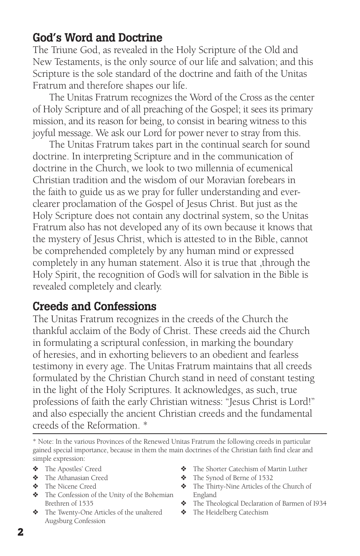### God's Word and Doctrine

The Triune God, as revealed in the Holy Scripture of the Old and New Testaments, is the only source of our life and salvation; and this Scripture is the sole standard of the doctrine and faith of the Unitas Fratrum and therefore shapes our life.

The Unitas Fratrum recognizes the Word of the Cross as the center of Holy Scripture and of all preaching of the Gospel; it sees its primary mission, and its reason for being, to consist in bearing witness to this joyful message. We ask our Lord for power never to stray from this.

The Unitas Fratrum takes part in the continual search for sound doctrine. In interpreting Scripture and in the communication of doctrine in the Church, we look to two millennia of ecumenical Christian tradition and the wisdom of our Moravian forebears in the faith to guide us as we pray for fuller understanding and everclearer proclamation of the Gospel of Jesus Christ. But just as the Holy Scripture does not contain any doctrinal system, so the Unitas Fratrum also has not developed any of its own because it knows that the mystery of Jesus Christ, which is attested to in the Bible, cannot be comprehended completely by any human mind or expressed completely in any human statement. Also it is true that ,through the Holy Spirit, the recognition of God's will for salvation in the Bible is revealed completely and clearly.

#### Creeds and Confessions

The Unitas Fratrum recognizes in the creeds of the Church the thankful acclaim of the Body of Christ. These creeds aid the Church in formulating a scriptural confession, in marking the boundary of heresies, and in exhorting believers to an obedient and fearless testimony in every age. The Unitas Fratrum maintains that all creeds formulated by the Christian Church stand in need of constant testing in the light of the Holy Scriptures. It acknowledges, as such, true professions of faith the early Christian witness: "Jesus Christ is Lord!" and also especially the ancient Christian creeds and the fundamental creeds of the Reformation. \*

- ❖ The Apostles' Creed
- ❖ The Athanasian Creed
- ❖ The Nicene Creed
- ❖ The Confession of the Unity of the Bohemian Brethren of 1535
- ❖ The Twenty-One Articles of the unaltered Augsburg Confession
- ❖ The Shorter Catechism of Martin Luther
- ❖ The Synod of Berne of 1532
- ❖ The Thirty-Nine Articles of the Church of England
- ❖ The Theological Declaration of Barmen of I934
- ❖ The Heidelberg Catechism

<sup>\*</sup> Note: In the various Provinces of the Renewed Unitas Fratrum the following creeds in particular gained special importance, because in them the main doctrines of the Christian faith find clear and simple expression: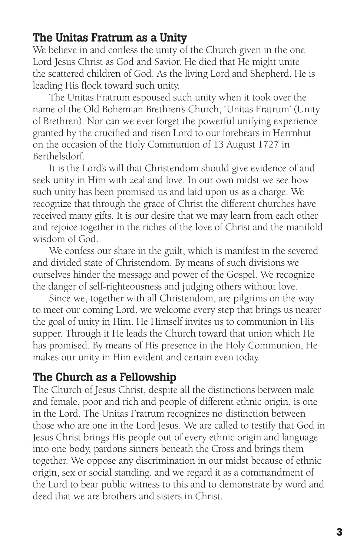#### The Unitas Fratrum as a Unity

We believe in and confess the unity of the Church given in the one Lord Jesus Christ as God and Savior. He died that He might unite the scattered children of God. As the living Lord and Shepherd, He is leading His flock toward such unity.

The Unitas Fratrum espoused such unity when it took over the name of the Old Bohemian Brethren's Church, `Unitas Fratrum' (Unity of Brethren). Nor can we ever forget the powerful unifying experience granted by the crucified and risen Lord to our forebears in Herrnhut on the occasion of the Holy Communion of 13 August 1727 in Berthelsdorf.

It is the Lord's will that Christendom should give evidence of and seek unity in Him with zeal and love. In our own midst we see how such unity has been promised us and laid upon us as a charge. We recognize that through the grace of Christ the different churches have received many gifts. It is our desire that we may learn from each other and rejoice together in the riches of the love of Christ and the manifold wisdom of God.

We confess our share in the guilt, which is manifest in the severed and divided state of Christendom. By means of such divisions we ourselves hinder the message and power of the Gospel. We recognize the danger of self-righteousness and judging others without love.

Since we, together with all Christendom, are pilgrims on the way to meet our coming Lord, we welcome every step that brings us nearer the goal of unity in Him. He Himself invites us to communion in His supper. Through it He leads the Church toward that union which He has promised. By means of His presence in the Holy Communion, He makes our unity in Him evident and certain even today.

#### The Church as a Fellowship

The Church of Jesus Christ, despite all the distinctions between male and female, poor and rich and people of different ethnic origin, is one in the Lord. The Unitas Fratrum recognizes no distinction between those who are one in the Lord Jesus. We are called to testify that God in Jesus Christ brings His people out of every ethnic origin and language into one body, pardons sinners beneath the Cross and brings them together. We oppose any discrimination in our midst because of ethnic origin, sex or social standing, and we regard it as a commandment of the Lord to bear public witness to this and to demonstrate by word and deed that we are brothers and sisters in Christ.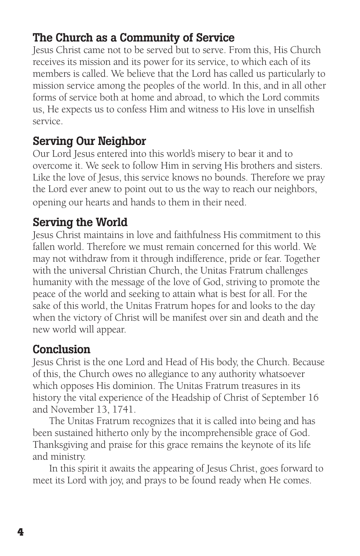## The Church as a Community of Service

Jesus Christ came not to be served but to serve. From this, His Church receives its mission and its power for its service, to which each of its members is called. We believe that the Lord has called us particularly to mission service among the peoples of the world. In this, and in all other forms of service both at home and abroad, to which the Lord commits us, He expects us to confess Him and witness to His love in unselfish service.

#### Serving Our Neighbor

Our Lord Jesus entered into this world's misery to bear it and to overcome it. We seek to follow Him in serving His brothers and sisters. Like the love of Jesus, this service knows no bounds. Therefore we pray the Lord ever anew to point out to us the way to reach our neighbors, opening our hearts and hands to them in their need.

## Serving the World

Jesus Christ maintains in love and faithfulness His commitment to this fallen world. Therefore we must remain concerned for this world. We may not withdraw from it through indifference, pride or fear. Together with the universal Christian Church, the Unitas Fratrum challenges humanity with the message of the love of God, striving to promote the peace of the world and seeking to attain what is best for all. For the sake of this world, the Unitas Fratrum hopes for and looks to the day when the victory of Christ will be manifest over sin and death and the new world will appear.

#### **Conclusion**

Jesus Christ is the one Lord and Head of His body, the Church. Because of this, the Church owes no allegiance to any authority whatsoever which opposes His dominion. The Unitas Fratrum treasures in its history the vital experience of the Headship of Christ of September 16 and November 13, 1741.

The Unitas Fratrum recognizes that it is called into being and has been sustained hitherto only by the incomprehensible grace of God. Thanksgiving and praise for this grace remains the keynote of its life and ministry.

In this spirit it awaits the appearing of Jesus Christ, goes forward to meet its Lord with joy, and prays to be found ready when He comes.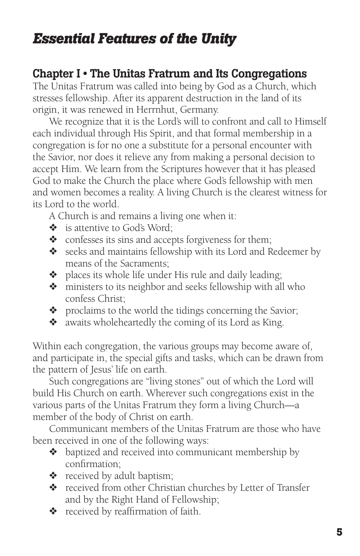## *Essential Features of the Unity*

#### Chapter I • The Unitas Fratrum and Its Congregations

The Unitas Fratrum was called into being by God as a Church, which stresses fellowship. After its apparent destruction in the land of its origin, it was renewed in Herrnhut, Germany.

We recognize that it is the Lord's will to confront and call to Himself each individual through His Spirit, and that formal membership in a congregation is for no one a substitute for a personal encounter with the Savior, nor does it relieve any from making a personal decision to accept Him. We learn from the Scriptures however that it has pleased God to make the Church the place where God's fellowship with men and women becomes a reality. A living Church is the clearest witness for its Lord to the world.

A Church is and remains a living one when it:

- ❖ is attentive to God's Word;
- ❖ confesses its sins and accepts forgiveness for them;
- ❖ seeks and maintains fellowship with its Lord and Redeemer by means of the Sacraments;
- ❖ places its whole life under His rule and daily leading;
- ❖ ministers to its neighbor and seeks fellowship with all who confess Christ;
- ❖ proclaims to the world the tidings concerning the Savior;
- ❖ awaits wholeheartedly the coming of its Lord as King.

Within each congregation, the various groups may become aware of, and participate in, the special gifts and tasks, which can be drawn from the pattern of Jesus' life on earth.

Such congregations are "living stones" out of which the Lord will build His Church on earth. Wherever such congregations exist in the various parts of the Unitas Fratrum they form a living Church—a member of the body of Christ on earth.

Communicant members of the Unitas Fratrum are those who have been received in one of the following ways:

- ❖ baptized and received into communicant membership by confirmation;
- ❖ received by adult baptism;
- ❖ received from other Christian churches by Letter of Transfer and by the Right Hand of Fellowship;
- ❖ received by reaffirmation of faith.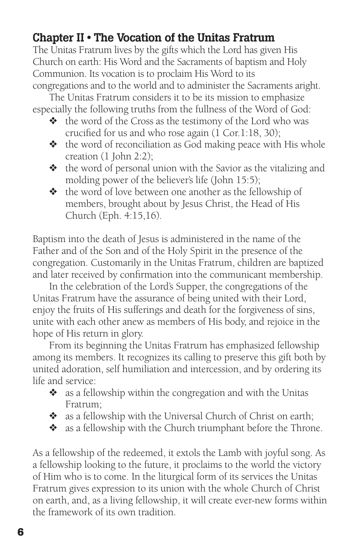## Chapter II • The Vocation of the Unitas Fratrum

The Unitas Fratrum lives by the gifts which the Lord has given His Church on earth: His Word and the Sacraments of baptism and Holy Communion. Its vocation is to proclaim His Word to its congregations and to the world and to administer the Sacraments aright.

The Unitas Fratrum considers it to be its mission to emphasize especially the following truths from the fullness of the Word of God:

- ❖ the word of the Cross as the testimony of the Lord who was crucified for us and who rose again (1 Cor.1:18, 30);
- ❖ the word of reconciliation as God making peace with His whole creation (1 John 2:2);
- ❖ the word of personal union with the Savior as the vitalizing and molding power of the believer's life (John 15:5);
- ❖ the word of love between one another as the fellowship of members, brought about by Jesus Christ, the Head of His Church (Eph. 4:15,16).

Baptism into the death of Jesus is administered in the name of the Father and of the Son and of the Holy Spirit in the presence of the congregation. Customarily in the Unitas Fratrum, children are baptized and later received by confirmation into the communicant membership.

In the celebration of the Lord's Supper, the congregations of the Unitas Fratrum have the assurance of being united with their Lord, enjoy the fruits of His sufferings and death for the forgiveness of sins, unite with each other anew as members of His body, and rejoice in the hope of His return in glory.

From its beginning the Unitas Fratrum has emphasized fellowship among its members. It recognizes its calling to preserve this gift both by united adoration, self humiliation and intercession, and by ordering its life and service:

- ❖ as a fellowship within the congregation and with the Unitas Fratrum;
- ❖ as a fellowship with the Universal Church of Christ on earth;
- ❖ as a fellowship with the Church triumphant before the Throne.

As a fellowship of the redeemed, it extols the Lamb with joyful song. As a fellowship looking to the future, it proclaims to the world the victory of Him who is to come. In the liturgical form of its services the Unitas Fratrum gives expression to its union with the whole Church of Christ on earth, and, as a living fellowship, it will create ever-new forms within the framework of its own tradition.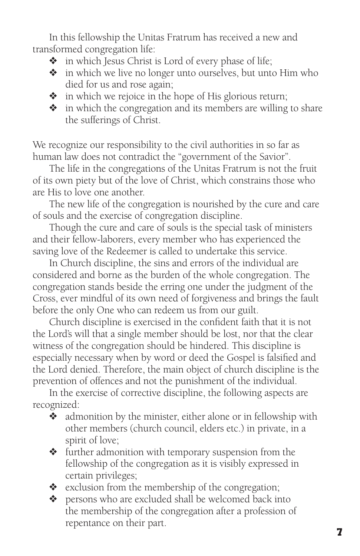In this fellowship the Unitas Fratrum has received a new and transformed congregation life:

- ❖ in which Jesus Christ is Lord of every phase of life;
- ❖ in which we live no longer unto ourselves, but unto Him who died for us and rose again;
- ❖ in which we rejoice in the hope of His glorious return;
- ❖ in which the congregation and its members are willing to share the sufferings of Christ.

We recognize our responsibility to the civil authorities in so far as human law does not contradict the "government of the Savior".

The life in the congregations of the Unitas Fratrum is not the fruit of its own piety but of the love of Christ, which constrains those who are His to love one another.

The new life of the congregation is nourished by the cure and care of souls and the exercise of congregation discipline.

Though the cure and care of souls is the special task of ministers and their fellow-laborers, every member who has experienced the saving love of the Redeemer is called to undertake this service.

In Church discipline, the sins and errors of the individual are considered and borne as the burden of the whole congregation. The congregation stands beside the erring one under the judgment of the Cross, ever mindful of its own need of forgiveness and brings the fault before the only One who can redeem us from our guilt.

Church discipline is exercised in the confident faith that it is not the Lord's will that a single member should be lost, nor that the clear witness of the congregation should be hindered. This discipline is especially necessary when by word or deed the Gospel is falsified and the Lord denied. Therefore, the main object of church discipline is the prevention of offences and not the punishment of the individual.

In the exercise of corrective discipline, the following aspects are recognized:

- ❖ admonition by the minister, either alone or in fellowship with other members (church council, elders etc.) in private, in a spirit of love;
- ❖ further admonition with temporary suspension from the fellowship of the congregation as it is visibly expressed in certain privileges;
- ❖ exclusion from the membership of the congregation;
- ❖ persons who are excluded shall be welcomed back into the membership of the congregation after a profession of repentance on their part. **7**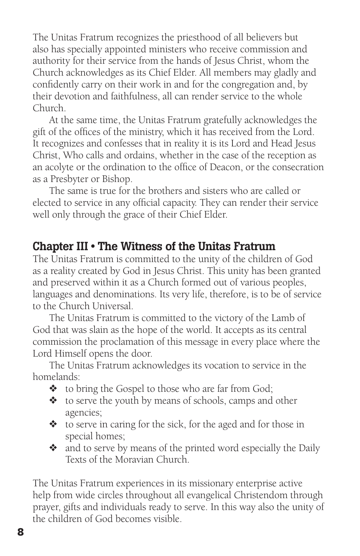The Unitas Fratrum recognizes the priesthood of all believers but also has specially appointed ministers who receive commission and authority for their service from the hands of Jesus Christ, whom the Church acknowledges as its Chief Elder. All members may gladly and confidently carry on their work in and for the congregation and, by their devotion and faithfulness, all can render service to the whole Church.

At the same time, the Unitas Fratrum gratefully acknowledges the gift of the offices of the ministry, which it has received from the Lord. It recognizes and confesses that in reality it is its Lord and Head Jesus Christ, Who calls and ordains, whether in the case of the reception as an acolyte or the ordination to the office of Deacon, or the consecration as a Presbyter or Bishop.

The same is true for the brothers and sisters who are called or elected to service in any official capacity. They can render their service well only through the grace of their Chief Elder.

#### Chapter III • The Witness of the Unitas Fratrum

The Unitas Fratrum is committed to the unity of the children of God as a reality created by God in Jesus Christ. This unity has been granted and preserved within it as a Church formed out of various peoples, languages and denominations. Its very life, therefore, is to be of service to the Church Universal.

The Unitas Fratrum is committed to the victory of the Lamb of God that was slain as the hope of the world. It accepts as its central commission the proclamation of this message in every place where the Lord Himself opens the door.

The Unitas Fratrum acknowledges its vocation to service in the homelands:

- ❖ to bring the Gospel to those who are far from God;
- ❖ to serve the youth by means of schools, camps and other agencies;
- ❖ to serve in caring for the sick, for the aged and for those in special homes;
- ❖ and to serve by means of the printed word especially the Daily Texts of the Moravian Church.

The Unitas Fratrum experiences in its missionary enterprise active help from wide circles throughout all evangelical Christendom through prayer, gifts and individuals ready to serve. In this way also the unity of the children of God becomes visible.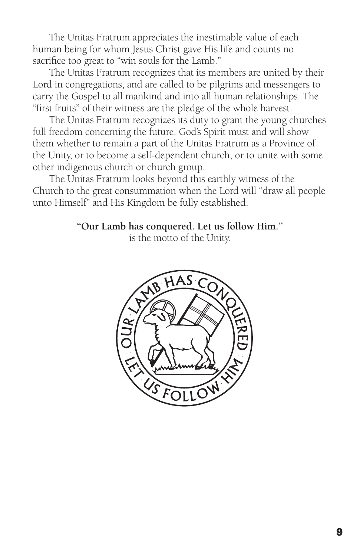The Unitas Fratrum appreciates the inestimable value of each human being for whom Jesus Christ gave His life and counts no sacrifice too great to "win souls for the Lamb."

The Unitas Fratrum recognizes that its members are united by their Lord in congregations, and are called to be pilgrims and messengers to carry the Gospel to all mankind and into all human relationships. The "first fruits" of their witness are the pledge of the whole harvest.

The Unitas Fratrum recognizes its duty to grant the young churches full freedom concerning the future. God's Spirit must and will show them whether to remain a part of the Unitas Fratrum as a Province of the Unity, or to become a self-dependent church, or to unite with some other indigenous church or church group.

The Unitas Fratrum looks beyond this earthly witness of the Church to the great consummation when the Lord will "draw all people unto Himself" and His Kingdom be fully established.

**"Our Lamb has conquered. Let us follow Him."** 

is the motto of the Unity.